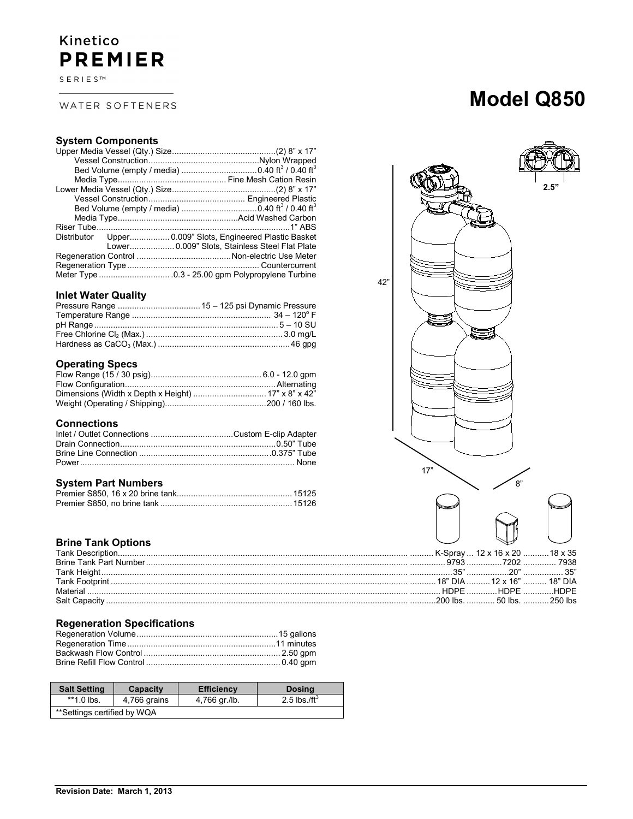## Kinetico **PREMIER**

SERIES™

## WATER SOFTENERS

# **Model Q850**

## **System Components**

|  | Distributor Upper 0.009" Slots, Engineered Plastic Basket |
|--|-----------------------------------------------------------|
|  | Lower 0.009" Slots, Stainless Steel Flat Plate            |
|  |                                                           |
|  |                                                           |
|  |                                                           |

## **Inlet Water Quality**

## **Operating Specs**

## **Connections**

## **System Part Numbers**

## **Brine Tank Options**

|               |  | 9793 7202 7938         |
|---------------|--|------------------------|
|               |  |                        |
|               |  |                        |
| Material      |  | HDPE HDPE HDPE         |
| Salt Canacity |  | 200 lbs 50 lbs 250 lbs |

## **Regeneration Specifications**

| <b>Salt Setting</b>         | <b>Capacity</b> | <b>Efficiency</b> | <b>Dosing</b>            |
|-----------------------------|-----------------|-------------------|--------------------------|
| $*1.0$ lbs.                 | 4,766 grains    | 4,766 gr./lb.     | 2.5 lbs./ft <sup>3</sup> |
| **Settings certified by WQA |                 |                   |                          |